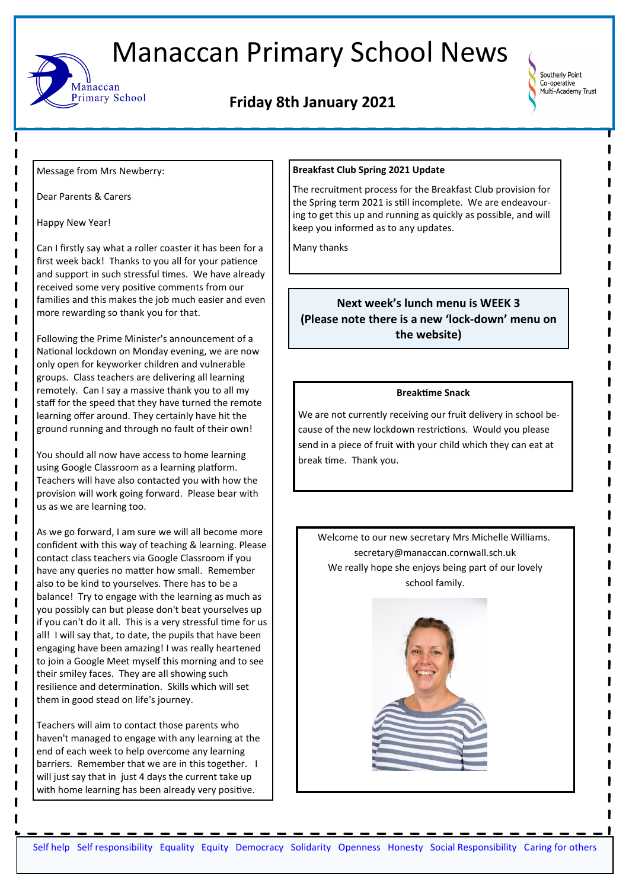

# **Friday 8th January 2021**



Message from Mrs Newberry:

Aanaccan

Primary School

Dear Parents & Carers

Happy New Year!

Can I firstly say what a roller coaster it has been for a first week back! Thanks to you all for your patience and support in such stressful times. We have already received some very positive comments from our families and this makes the job much easier and even more rewarding so thank you for that.

Following the Prime Minister's announcement of a National lockdown on Monday evening, we are now only open for keyworker children and vulnerable groups. Class teachers are delivering all learning remotely. Can I say a massive thank you to all my staff for the speed that they have turned the remote learning offer around. They certainly have hit the ground running and through no fault of their own!

You should all now have access to home learning using Google Classroom as a learning platform. Teachers will have also contacted you with how the provision will work going forward. Please bear with us as we are learning too.

As we go forward, I am sure we will all become more confident with this way of teaching & learning. Please contact class teachers via Google Classroom if you have any queries no matter how small. Remember also to be kind to yourselves. There has to be a balance! Try to engage with the learning as much as you possibly can but please don't beat yourselves up if you can't do it all. This is a very stressful time for us all! I will say that, to date, the pupils that have been engaging have been amazing! I was really heartened to join a Google Meet myself this morning and to see their smiley faces. They are all showing such resilience and determination. Skills which will set them in good stead on life's journey.

Teachers will aim to contact those parents who haven't managed to engage with any learning at the end of each week to help overcome any learning barriers. Remember that we are in this together. I will just say that in just 4 days the current take up with home learning has been already very positive.

#### **Breakfast Club Spring 2021 Update**

The recruitment process for the Breakfast Club provision for the Spring term 2021 is still incomplete. We are endeavouring to get this up and running as quickly as possible, and will keep you informed as to any updates.

Many thanks

# **Next week's lunch menu is WEEK 3 (Please note there is a new 'lock-down' menu on the website)**

#### **Breaktime Snack**

We are not currently receiving our fruit delivery in school because of the new lockdown restrictions. Would you please send in a piece of fruit with your child which they can eat at break time. Thank you.

Welcome to our new secretary Mrs Michelle Williams. secretary@manaccan.cornwall.sch.uk We really hope she enjoys being part of our lovely school family.